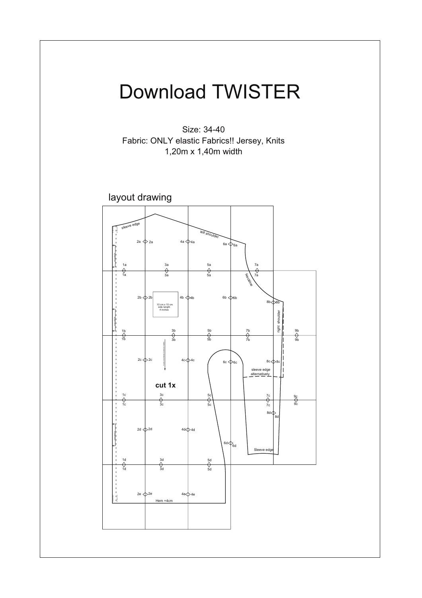

Size: 34-40 Fabric: ONLY elastic Fabrics!! Jersey, Knits 1,20m x 1,40m width

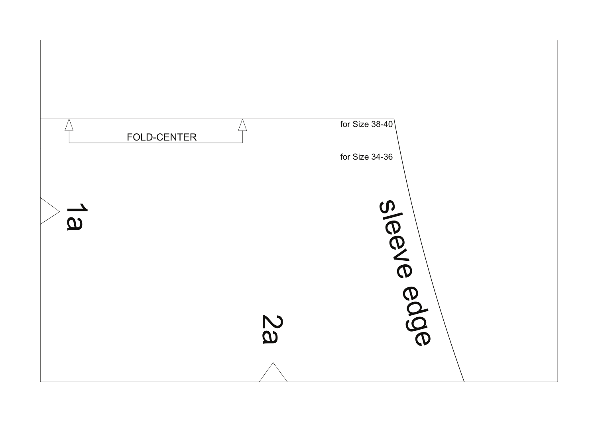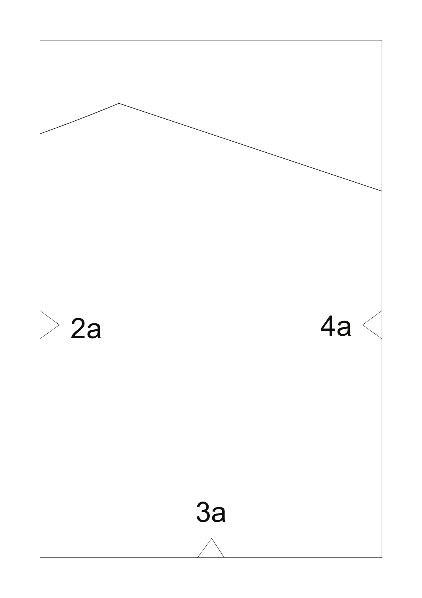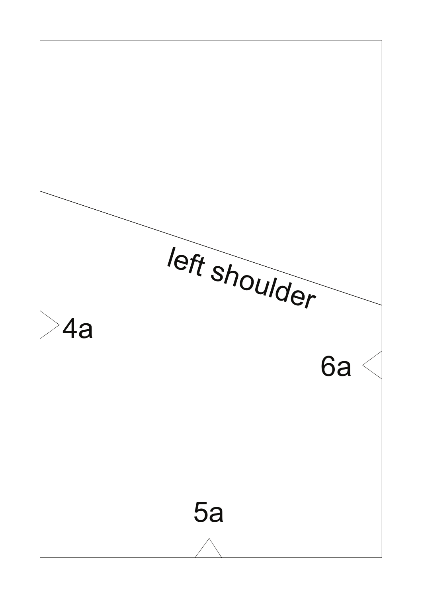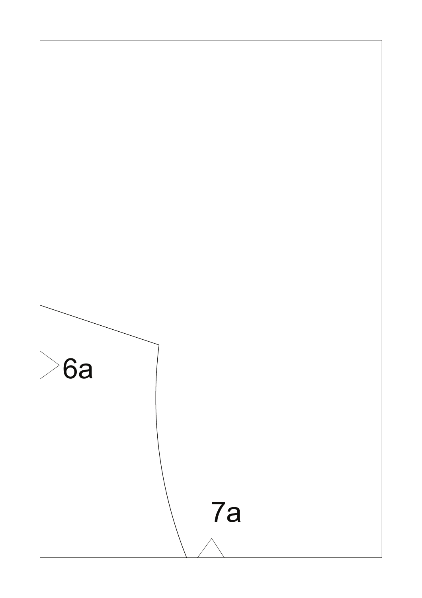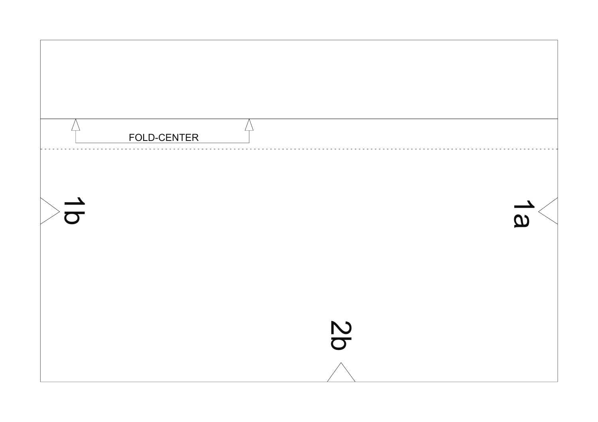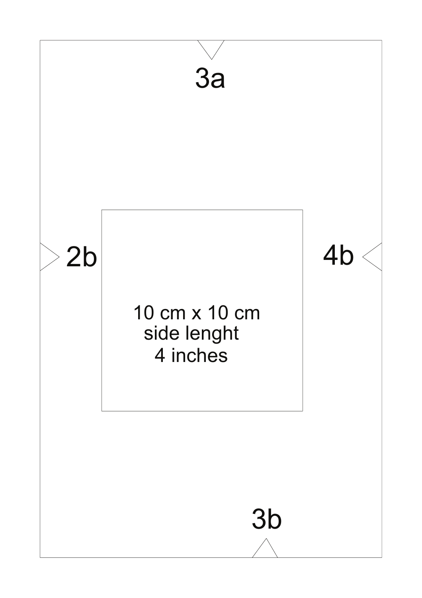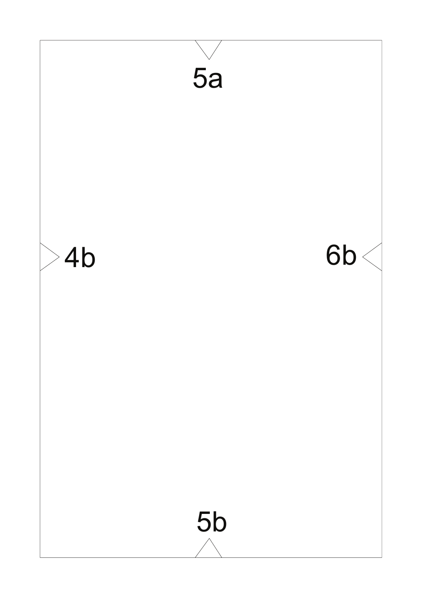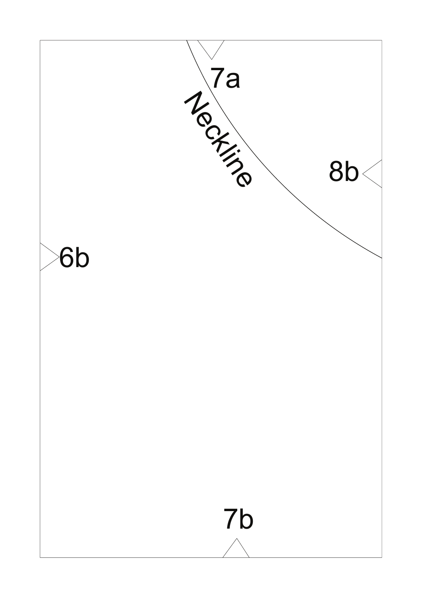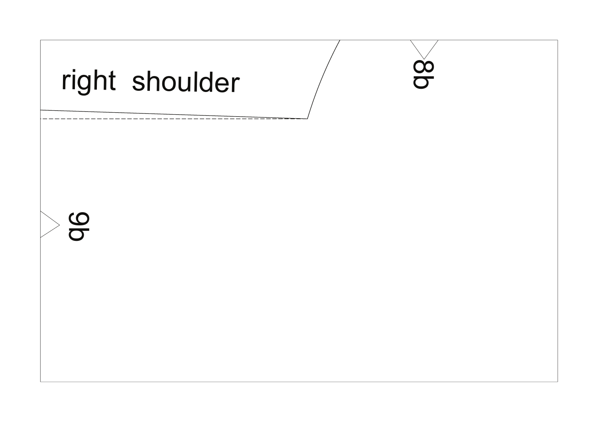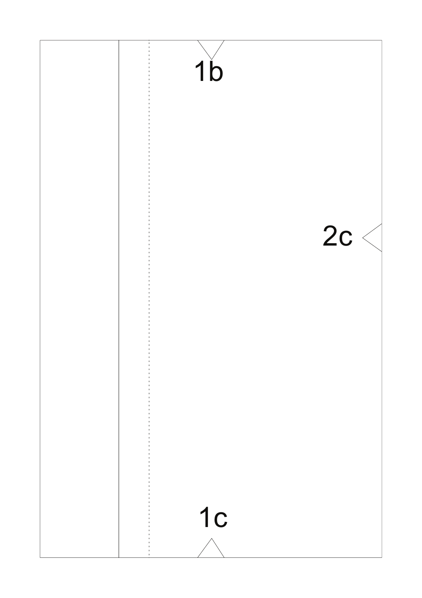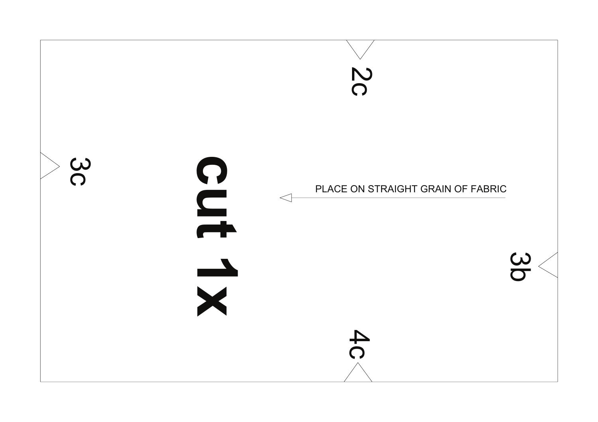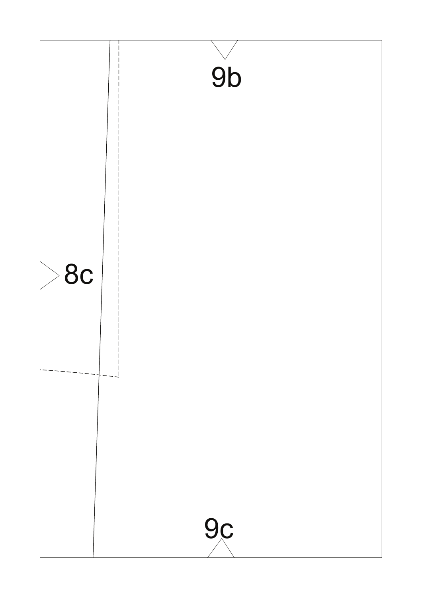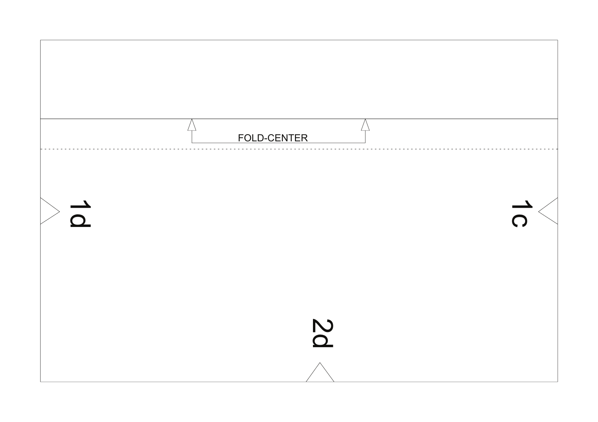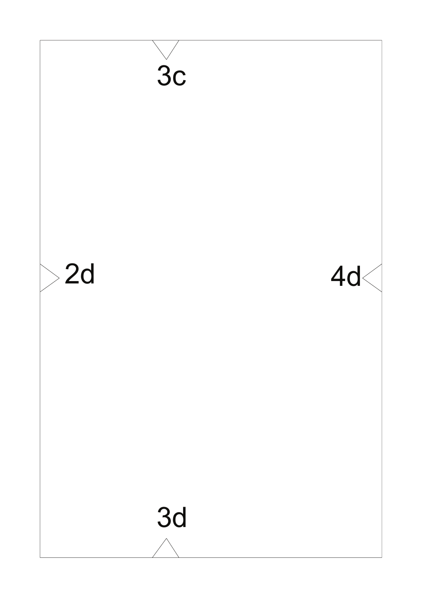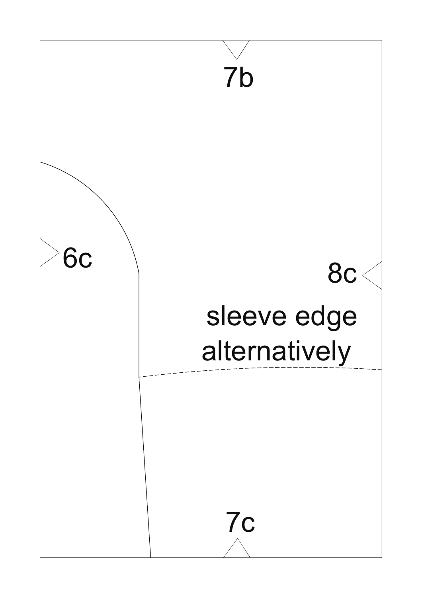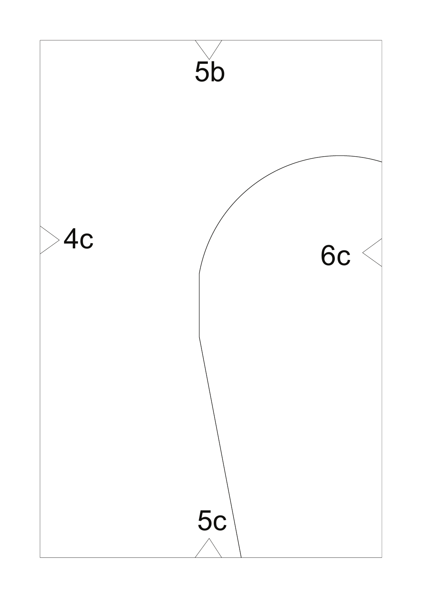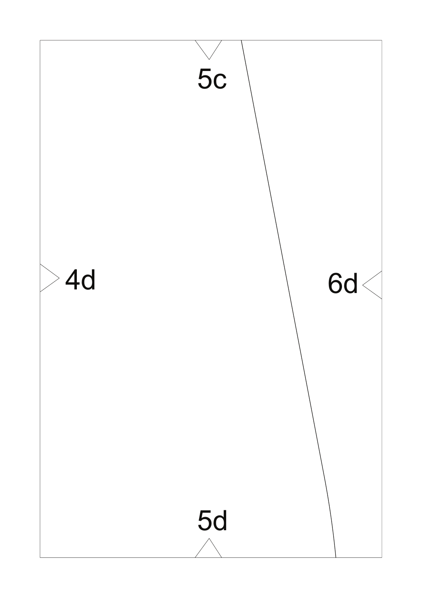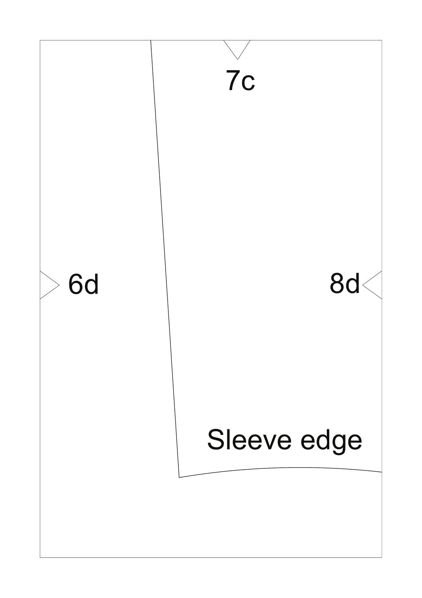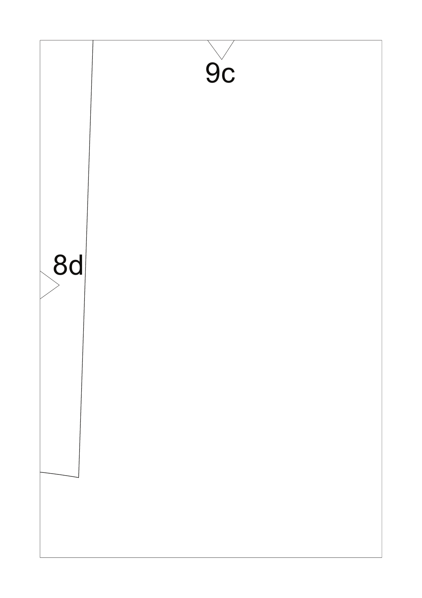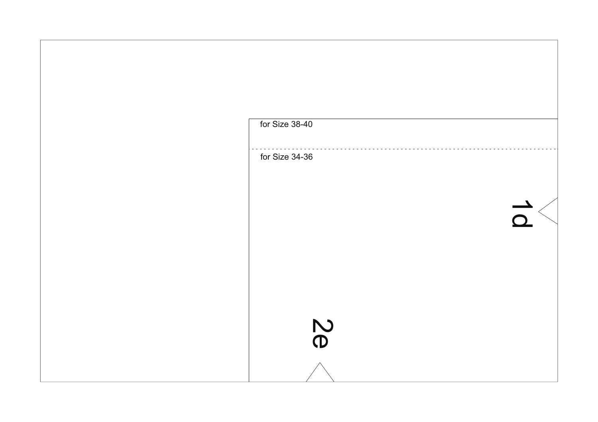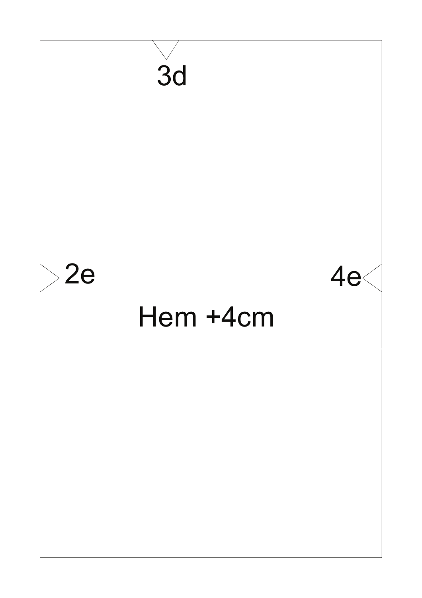